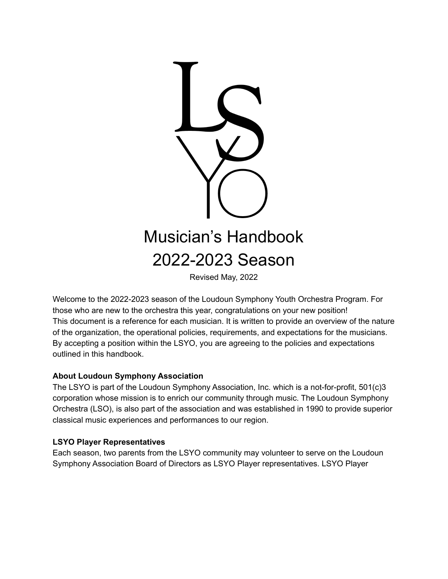

Revised May, 2022

Welcome to the 2022-2023 season of the Loudoun Symphony Youth Orchestra Program. For those who are new to the orchestra this year, congratulations on your new position! This document is a reference for each musician. It is written to provide an overview of the nature of the organization, the operational policies, requirements, and expectations for the musicians. By accepting a position within the LSYO, you are agreeing to the policies and expectations outlined in this handbook.

### **About Loudoun Symphony Association**

The LSYO is part of the Loudoun Symphony Association, Inc. which is a not-for-profit, 501(c)3 corporation whose mission is to enrich our community through music. The Loudoun Symphony Orchestra (LSO), is also part of the association and was established in 1990 to provide superior classical music experiences and performances to our region.

### **LSYO Player Representatives**

Each season, two parents from the LSYO community may volunteer to serve on the Loudoun Symphony Association Board of Directors as LSYO Player representatives. LSYO Player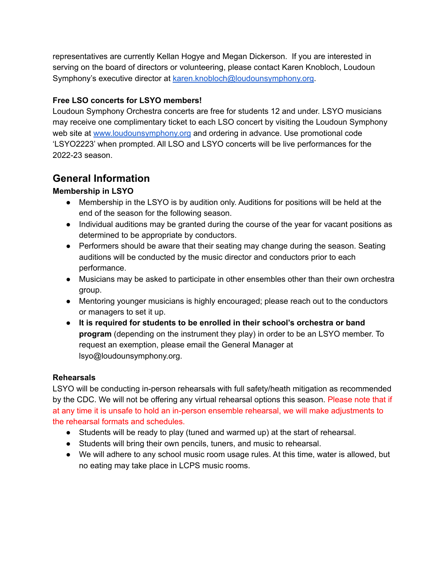representatives are currently Kellan Hogye and Megan Dickerson. If you are interested in serving on the board of directors or volunteering, please contact Karen Knobloch, Loudoun Symphony's executive director at [karen.knobloch@loudounsymphony.org](mailto:karen.knobloch@loudounsymphony.org).

### **Free LSO concerts for LSYO members!**

Loudoun Symphony Orchestra concerts are free for students 12 and under. LSYO musicians may receive one complimentary ticket to each LSO concert by visiting the Loudoun Symphony web site at [www.loudounsymphony.org](http://www.loudounsymphony.org) and ordering in advance. Use promotional code 'LSYO2223' when prompted. All LSO and LSYO concerts will be live performances for the 2022-23 season.

## **General Information**

### **Membership in LSYO**

- Membership in the LSYO is by audition only. Auditions for positions will be held at the end of the season for the following season.
- Individual auditions may be granted during the course of the year for vacant positions as determined to be appropriate by conductors.
- Performers should be aware that their seating may change during the season. Seating auditions will be conducted by the music director and conductors prior to each performance.
- Musicians may be asked to participate in other ensembles other than their own orchestra group.
- Mentoring younger musicians is highly encouraged; please reach out to the conductors or managers to set it up.
- **It is required for students to be enrolled in their school's orchestra or band program** (depending on the instrument they play) in order to be an LSYO member. To request an exemption, please email the General Manager at lsyo@loudounsymphony.org.

### **Rehearsals**

LSYO will be conducting in-person rehearsals with full safety/heath mitigation as recommended by the CDC. We will not be offering any virtual rehearsal options this season. Please note that if at any time it is unsafe to hold an in-person ensemble rehearsal, we will make adjustments to the rehearsal formats and schedules.

- Students will be ready to play (tuned and warmed up) at the start of rehearsal.
- Students will bring their own pencils, tuners, and music to rehearsal.
- We will adhere to any school music room usage rules. At this time, water is allowed, but no eating may take place in LCPS music rooms.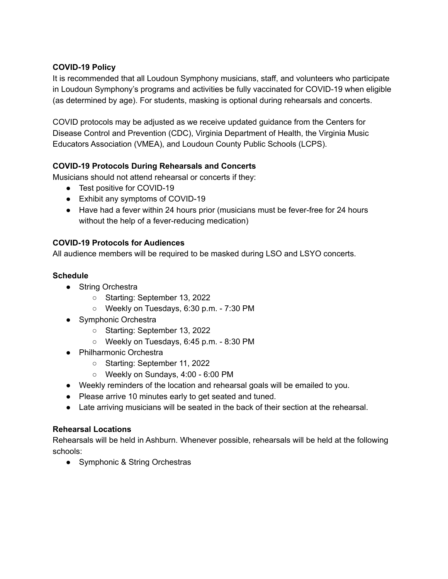### **COVID-19 Policy**

It is recommended that all Loudoun Symphony musicians, staff, and volunteers who participate in Loudoun Symphony's programs and activities be fully vaccinated for COVID-19 when eligible (as determined by age). For students, masking is optional during rehearsals and concerts.

COVID protocols may be adjusted as we receive updated guidance from the Centers for Disease Control and Prevention (CDC), Virginia Department of Health, the Virginia Music Educators Association (VMEA), and Loudoun County Public Schools (LCPS).

### **COVID-19 Protocols During Rehearsals and Concerts**

Musicians should not attend rehearsal or concerts if they:

- Test positive for COVID-19
- Exhibit any symptoms of COVID-19
- Have had a fever within 24 hours prior (musicians must be fever-free for 24 hours without the help of a fever-reducing medication)

### **COVID-19 Protocols for Audiences**

All audience members will be required to be masked during LSO and LSYO concerts.

### **Schedule**

- String Orchestra
	- Starting: September 13, 2022
	- Weekly on Tuesdays, 6:30 p.m. 7:30 PM
- Symphonic Orchestra
	- Starting: September 13, 2022
	- Weekly on Tuesdays, 6:45 p.m. 8:30 PM
- Philharmonic Orchestra
	- Starting: September 11, 2022
	- Weekly on Sundays, 4:00 6:00 PM
- Weekly reminders of the location and rehearsal goals will be emailed to you.
- Please arrive 10 minutes early to get seated and tuned.
- Late arriving musicians will be seated in the back of their section at the rehearsal.

### **Rehearsal Locations**

Rehearsals will be held in Ashburn. Whenever possible, rehearsals will be held at the following schools:

• Symphonic & String Orchestras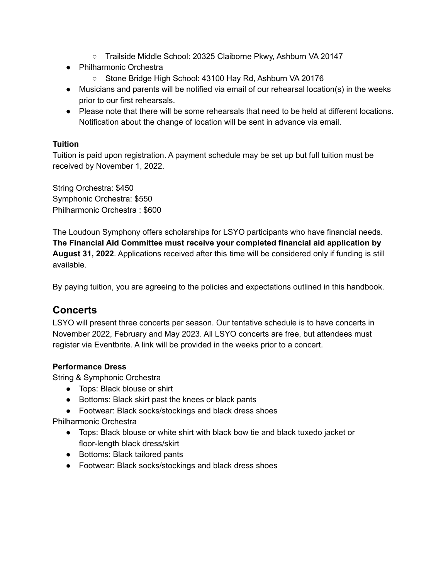- Trailside Middle School: 20325 Claiborne Pkwy, Ashburn VA 20147
- Philharmonic Orchestra
	- Stone Bridge High School: 43100 Hay Rd, Ashburn VA 20176
- Musicians and parents will be notified via email of our rehearsal location(s) in the weeks prior to our first rehearsals.
- Please note that there will be some rehearsals that need to be held at different locations. Notification about the change of location will be sent in advance via email.

### **Tuition**

Tuition is paid upon registration. A payment schedule may be set up but full tuition must be received by November 1, 2022.

String Orchestra: \$450 Symphonic Orchestra: \$550 Philharmonic Orchestra : \$600

The Loudoun Symphony offers scholarships for LSYO participants who have financial needs. **The Financial Aid Committee must receive your completed financial aid application by August 31, 2022**. Applications received after this time will be considered only if funding is still available.

By paying tuition, you are agreeing to the policies and expectations outlined in this handbook.

## **Concerts**

LSYO will present three concerts per season. Our tentative schedule is to have concerts in November 2022, February and May 2023. All LSYO concerts are free, but attendees must register via Eventbrite. A link will be provided in the weeks prior to a concert.

### **Performance Dress**

String & Symphonic Orchestra

- Tops: Black blouse or shirt
- Bottoms: Black skirt past the knees or black pants
- Footwear: Black socks/stockings and black dress shoes

Philharmonic Orchestra

- Tops: Black blouse or white shirt with black bow tie and black tuxedo jacket or floor-length black dress/skirt
- Bottoms: Black tailored pants
- Footwear: Black socks/stockings and black dress shoes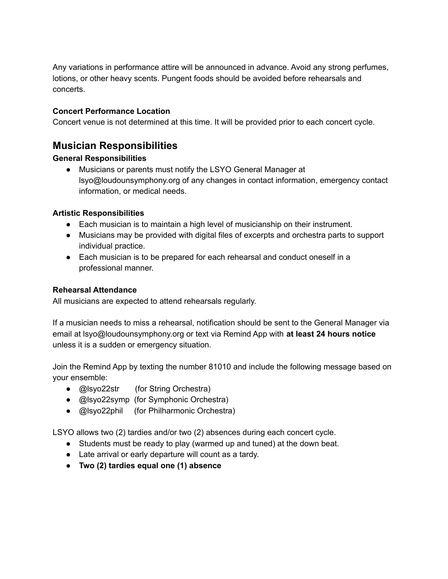Any variations in performance attire will be announced in advance. Avoid any strong perfumes, lotions, or other heavy scents. Pungent foods should be avoided before rehearsals and concerts.

### **Concert Performance Location**

Concert venue is not determined at this time. It will be provided prior to each concert cycle.

## **Musician Responsibilities**

### **General Responsibilities**

● Musicians or parents must notify the LSYO General Manager at lsyo@loudounsymphony.org of any changes in contact information, emergency contact information, or medical needs.

### **Artistic Responsibilities**

- Each musician is to maintain a high level of musicianship on their instrument.
- Musicians may be provided with digital files of excerpts and orchestra parts to support individual practice.
- Each musician is to be prepared for each rehearsal and conduct oneself in a professional manner.

### **Rehearsal Attendance**

All musicians are expected to attend rehearsals regularly.

If a musician needs to miss a rehearsal, notification should be sent to the General Manager via email at lsyo@loudounsymphony.org or text via Remind App with **at least 24 hours notice** unless it is a sudden or emergency situation.

Join the Remind App by texting the number 81010 and include the following message based on your ensemble:

- @lsyo22str (for String Orchestra)
- @lsyo22symp (for Symphonic Orchestra)
- @lsyo22phil (for Philharmonic Orchestra)

LSYO allows two (2) tardies and/or two (2) absences during each concert cycle.

- Students must be ready to play (warmed up and tuned) at the down beat.
- Late arrival or early departure will count as a tardy.
- **● Two (2) tardies equal one (1) absence**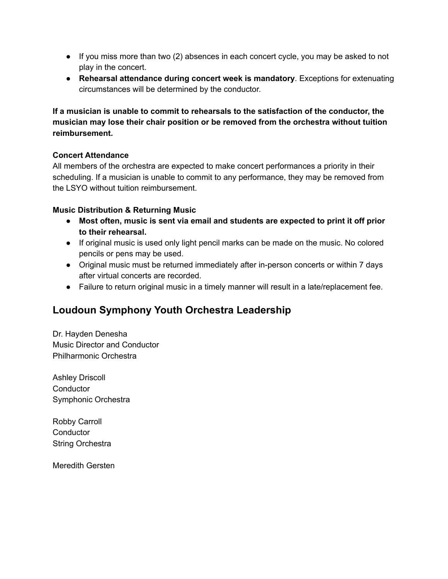- If you miss more than two (2) absences in each concert cycle, you may be asked to not play in the concert.
- **Rehearsal attendance during concert week is mandatory**. Exceptions for extenuating circumstances will be determined by the conductor.

**If a musician is unable to commit to rehearsals to the satisfaction of the conductor, the musician may lose their chair position or be removed from the orchestra without tuition reimbursement.**

### **Concert Attendance**

All members of the orchestra are expected to make concert performances a priority in their scheduling. If a musician is unable to commit to any performance, they may be removed from the LSYO without tuition reimbursement.

### **Music Distribution & Returning Music**

- **● Most often, music is sent via email and students are expected to print it off prior to their rehearsal.**
- If original music is used only light pencil marks can be made on the music. No colored pencils or pens may be used.
- Original music must be returned immediately after in-person concerts or within 7 days after virtual concerts are recorded.
- Failure to return original music in a timely manner will result in a late/replacement fee.

# **Loudoun Symphony Youth Orchestra Leadership**

Dr. Hayden Denesha Music Director and Conductor Philharmonic Orchestra

Ashley Driscoll **Conductor** Symphonic Orchestra

Robby Carroll **Conductor** String Orchestra

Meredith Gersten